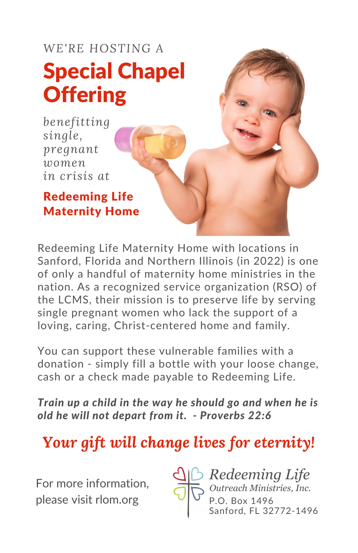# Special Chapel **Offering** *WE'RE HOSTING A*

*benefitting single, pregnant women in crisis at*

Redeeming Life Maternity Home

Redeeming Life Maternity Home with locations in Sanford, Florida and Northern Illinois (in 2022) is one of only a handful of maternity home ministries in the nation. As a recognized service organization (RSO) of the LCMS, their mission is to preserve life by serving single pregnant women who lack the support of a loving, caring, Christ-centered home and family.

You can support these vulnerable families with a donation - simply fill a bottle with your loose change, cash or a check made payable to Redeeming Life.

*Train up a child in the way he should go and when he is old he will not depart from it. - Proverbs 22:6*

### *Your gift will change lives for eternity!*

For more information, please visit rlom.org



*Redeeming Life Outreach Ministries, Inc.* P.O. Box 1496 Sanford, FL 32772-1496